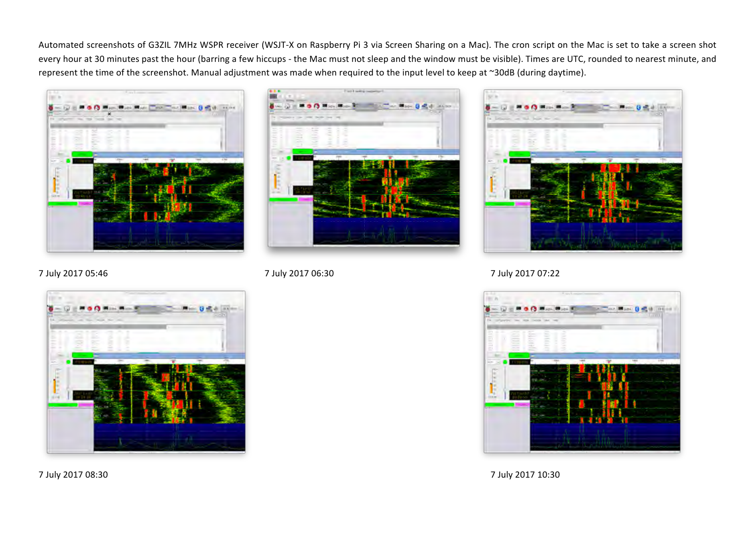Automated screenshots of G3ZIL 7MHz WSPR receiver (WSJT-X on Raspberry Pi 3 via Screen Sharing on a Mac). The cron script on the Mac is set to take a screen shot every hour at 30 minutes past the hour (barring a few hiccups - the Mac must not sleep and the window must be visible). Times are UTC, rounded to nearest minute, and represent the time of the screenshot. Manual adjustment was made when required to the input level to keep at ~30dB (during daytime).







7 July 2017 05:46 7 July 2017 06:30 7 July 2017 07:22



7 July 2017 08:30 7 July 2017 10:30

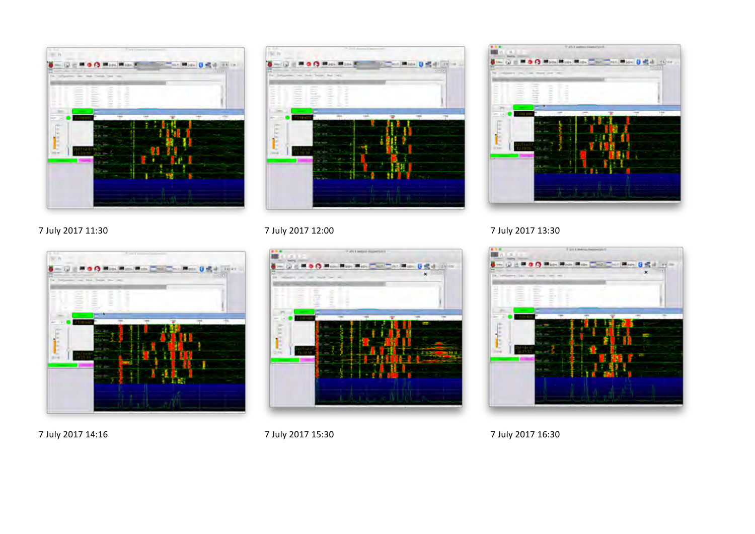





7 July 2017 11:30 7 July 2017 12:00 7 July 2017 12:00



7 July 2017 14:16 7 July 2017 15:30 7 July 2017 15:30



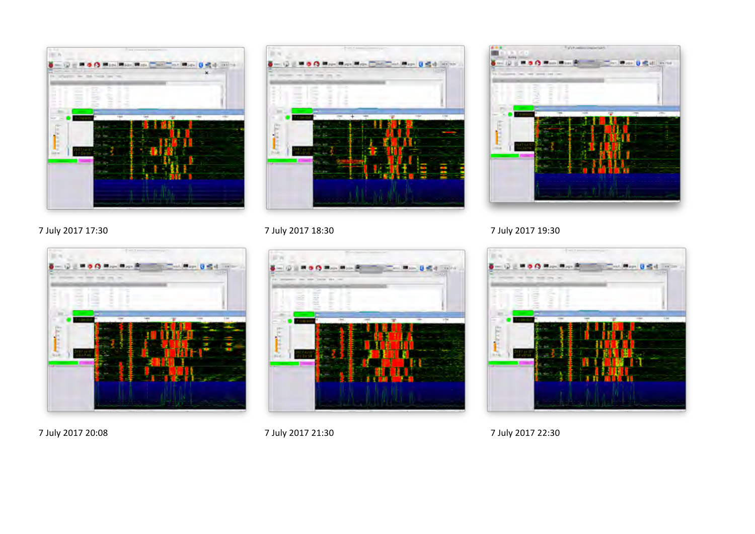





7 July 2017 17:30 7 July 2017 18:30 7 July 2017 18:30







7 July 2017 20:08 2017 21:30 7 July 2017 21:30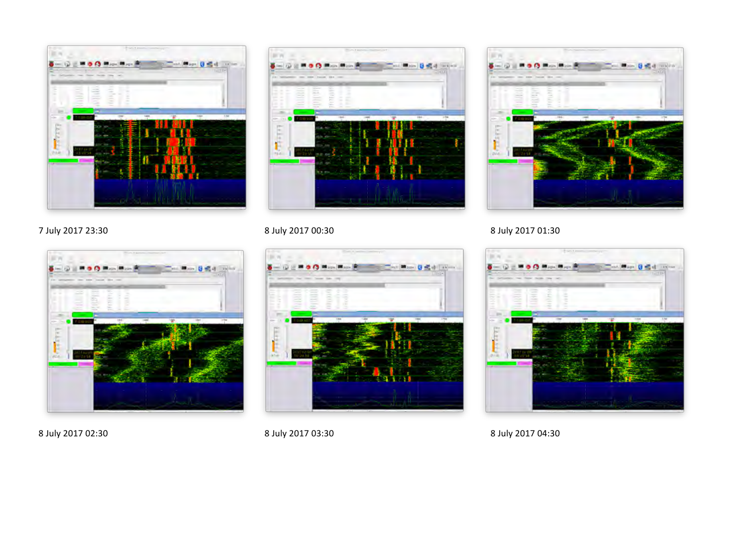





# 7 July 2017 23:30 **8** July 2017 00:30 **8** July 2017 00:30



8 July 2017 02:30 8 July 2017 03:30 8 July 2017 03:30



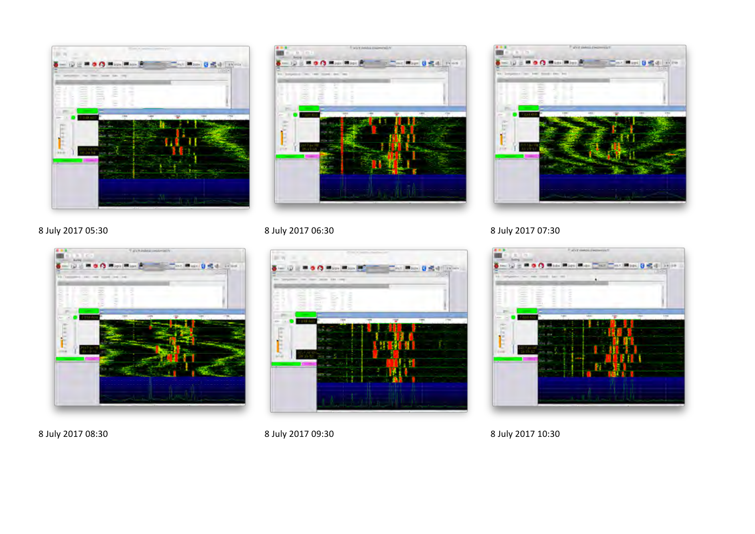





8 July 2017 05:30 8 July 2017 06:30 8 July 2017 06:30 8 July 2017 07:30







8 July 2017 08:30 8 July 2017 09:30 8 July 2017 09:30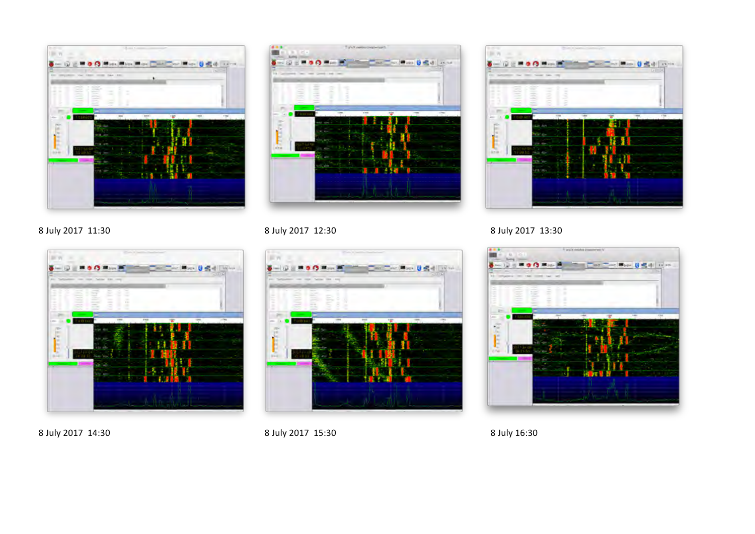







8 July 2017 14:30 8 July 2017 15:30 8 July 2017 15:30



8 July 2017 11:30 8 July 2017 12:30 8 July 2017 12:30

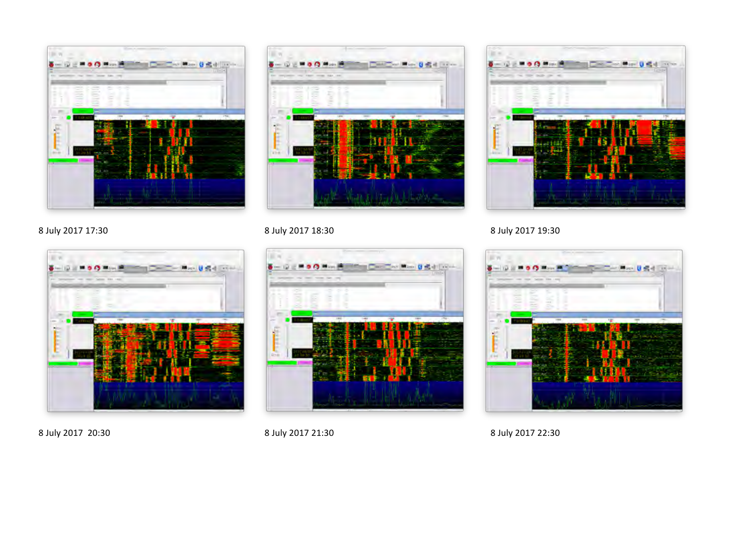



# 8 July 2017 17:30 8 July 2017 18:30 8 July 2017 18:30









8 July 2017 20:30 8 July 2017 21:30 8 July 2017 21:30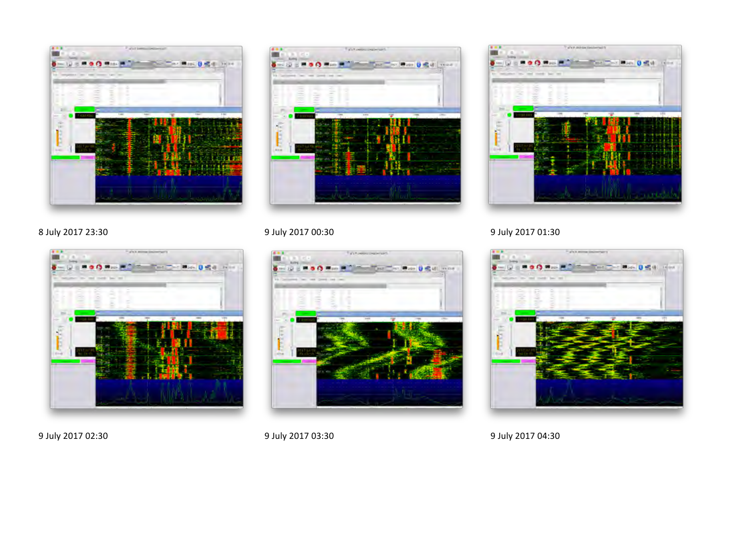





8 July 2017 23:30 9 July 2017 00:30 9 July 2017 00:30







9 July 2017 02:30 9 July 2017 03:30 9 July 2017 03:30 9 July 2017 04:30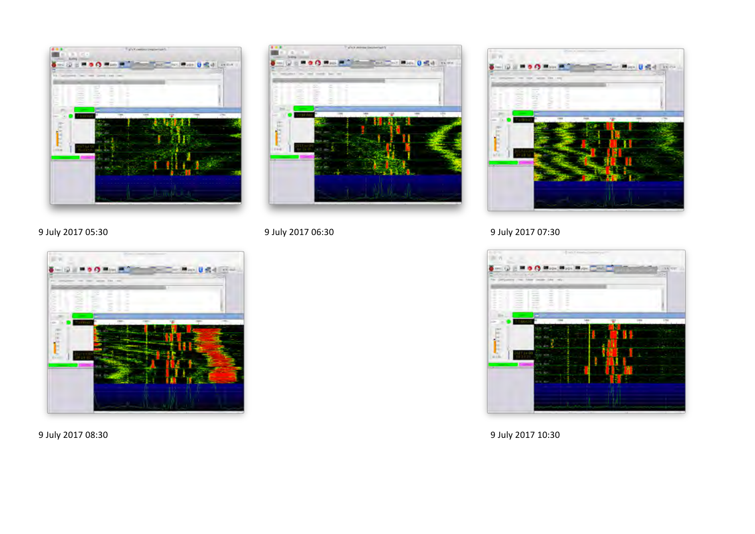













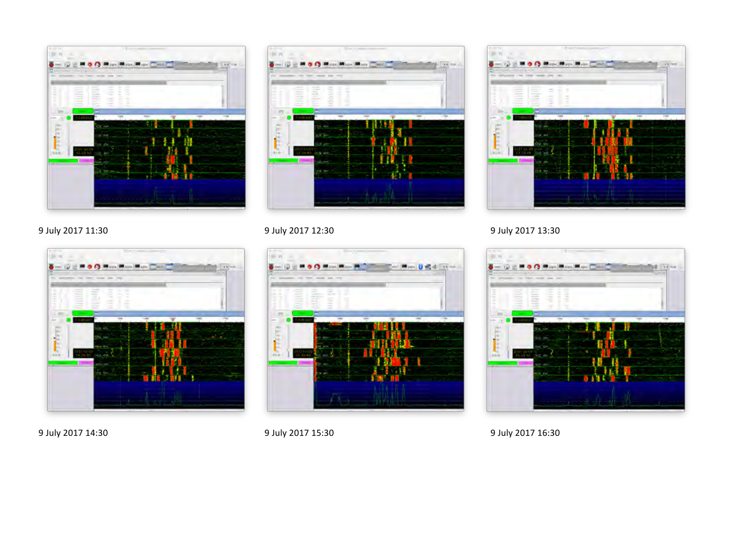





9 July 2017 11:30 9 July 2017 12:30 9 July 2017 12:30







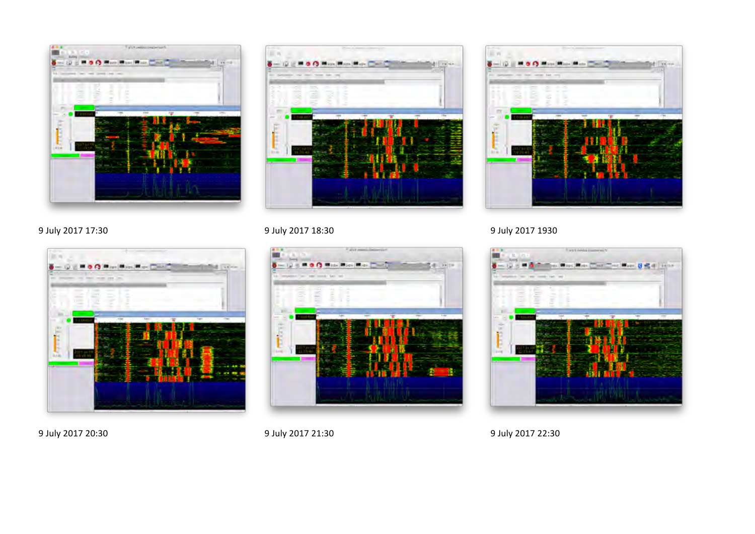







## 9 July 2017 17:30 9 July 2017 18:30 9 July 2017 18:30







9 July 2017 20:30 9 July 2017 21:30 9 July 2017 21:30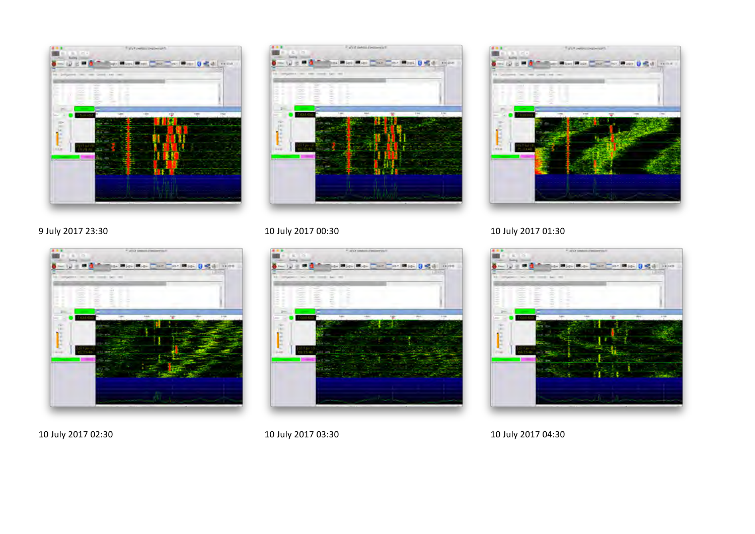









## 9 July 2017 23:30 **10 July 2017 00:30 10 July 2017 00:30 10 July 2017 01:30**



### 10 July 2017 02:30 10 July 2017 03:30 10 July 2017 03:30 10 July 2017 04:30